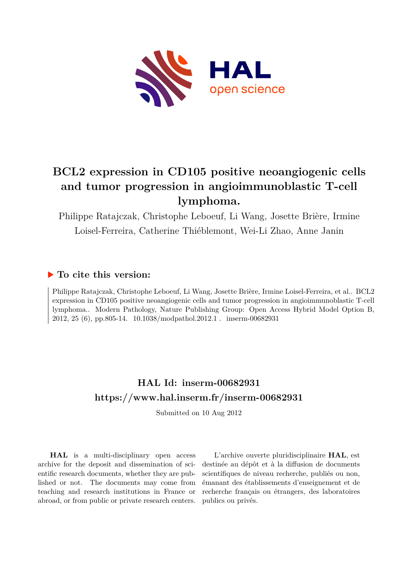

# **BCL2 expression in CD105 positive neoangiogenic cells and tumor progression in angioimmunoblastic T-cell lymphoma.**

Philippe Ratajczak, Christophe Leboeuf, Li Wang, Josette Brière, Irmine Loisel-Ferreira, Catherine Thiéblemont, Wei-Li Zhao, Anne Janin

## **To cite this version:**

Philippe Ratajczak, Christophe Leboeuf, Li Wang, Josette Brière, Irmine Loisel-Ferreira, et al.. BCL2 expression in CD105 positive neoangiogenic cells and tumor progression in angioimmunoblastic T-cell lymphoma.. Modern Pathology, Nature Publishing Group: Open Access Hybrid Model Option B, 2012, 25 (6), pp.805-14.  $10.1038/mol$ athol.2012.1 inserm-00682931

## **HAL Id: inserm-00682931 <https://www.hal.inserm.fr/inserm-00682931>**

Submitted on 10 Aug 2012

**HAL** is a multi-disciplinary open access archive for the deposit and dissemination of scientific research documents, whether they are published or not. The documents may come from teaching and research institutions in France or abroad, or from public or private research centers.

L'archive ouverte pluridisciplinaire **HAL**, est destinée au dépôt et à la diffusion de documents scientifiques de niveau recherche, publiés ou non, émanant des établissements d'enseignement et de recherche français ou étrangers, des laboratoires publics ou privés.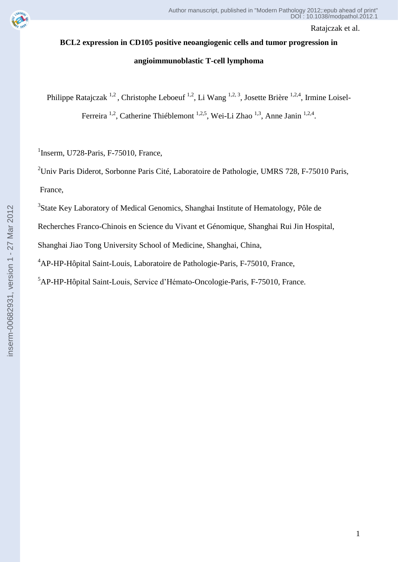

# **BCL2 expression in CD105 positive neoangiogenic cells and tumor progression in**

## **angioimmunoblastic T-cell lymphoma**

Philippe Ratajczak<sup>1,2</sup>, Christophe Leboeuf<sup>1,2</sup>, Li Wang<sup>1,2,3</sup>, Josette Brière<sup>1,2,4</sup>, Irmine Loisel-

Ferreira <sup>1,2</sup>, Catherine Thiéblemont <sup>1,2,5</sup>, Wei-Li Zhao <sup>1,3</sup>, Anne Janin <sup>1,2,4</sup>.

<sup>1</sup>Inserm, U728-Paris, F-75010, France,

<sup>2</sup>Univ Paris Diderot, Sorbonne Paris Cité, Laboratoire de Pathologie, UMRS 728, F-75010 Paris, France,

<sup>3</sup>State Key Laboratory of Medical Genomics, Shanghai Institute of Hematology, Pôle de

Recherches Franco-Chinois en Science du Vivant et Génomique, Shanghai Rui Jin Hospital,

Shanghai Jiao Tong University School of Medicine, Shanghai, China,

<sup>4</sup>AP-HP-Hôpital Saint-Louis, Laboratoire de Pathologie-Paris, F-75010, France,

<sup>5</sup>AP-HP-Hôpital Saint-Louis, Service d'Hémato-Oncologie-Paris, F-75010, France.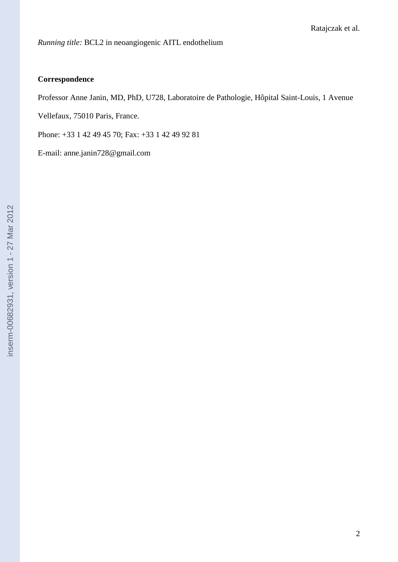## **Correspondence**

Professor Anne Janin, MD, PhD, U728, Laboratoire de Pathologie, Hôpital Saint-Louis, 1 Avenue

Vellefaux, 75010 Paris, France.

Phone: +33 1 42 49 45 70; Fax: +33 1 42 49 92 81

E-mail: anne.janin728@gmail.com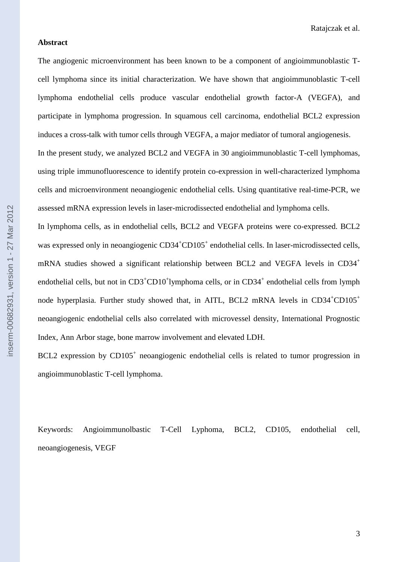#### **Abstract**

The angiogenic microenvironment has been known to be a component of angioimmunoblastic Tcell lymphoma since its initial characterization. We have shown that angioimmunoblastic T-cell lymphoma endothelial cells produce vascular endothelial growth factor-A (VEGFA), and participate in lymphoma progression. In squamous cell carcinoma, endothelial BCL2 expression induces a cross-talk with tumor cells through VEGFA, a major mediator of tumoral angiogenesis. In the present study, we analyzed BCL2 and VEGFA in 30 angioimmunoblastic T-cell lymphomas, using triple immunofluorescence to identify protein co-expression in well-characterized lymphoma cells and microenvironment neoangiogenic endothelial cells. Using quantitative real-time-PCR, we assessed mRNA expression levels in laser-microdissected endothelial and lymphoma cells. In lymphoma cells, as in endothelial cells, BCL2 and VEGFA proteins were co-expressed. BCL2 was expressed only in neoangiogenic CD34<sup>+</sup>CD105<sup>+</sup> endothelial cells. In laser-microdissected cells,

BCL2 expression by CD105<sup>+</sup> neoangiogenic endothelial cells is related to tumor progression in angioimmunoblastic T-cell lymphoma.

mRNA studies showed a significant relationship between BCL2 and VEGFA levels in CD34<sup>+</sup>

endothelial cells, but not in CD3<sup>+</sup>CD10<sup>+</sup>lymphoma cells, or in CD34<sup>+</sup> endothelial cells from lymph

node hyperplasia. Further study showed that, in AITL, BCL2 mRNA levels in  $CD34<sup>+</sup>CD105<sup>+</sup>$ 

neoangiogenic endothelial cells also correlated with microvessel density, International Prognostic

Index, Ann Arbor stage, bone marrow involvement and elevated LDH.

Keywords: Angioimmunolbastic T-Cell Lyphoma, BCL2, CD105, endothelial cell, neoangiogenesis, VEGF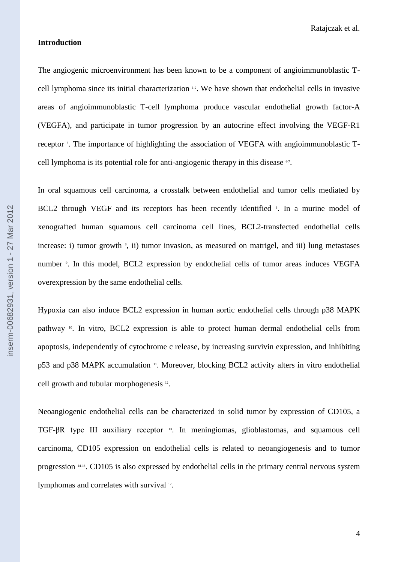#### **Introduction**

The angiogenic microenvironment has been known to be a component of angioimmunoblastic Tcell lymphoma since its initial characterization 1-2 . We have shown that endothelial cells in invasive areas of angioimmunoblastic T-cell lymphoma produce vascular endothelial growth factor-A (VEGFA), and participate in tumor progression by an autocrine effect involving the VEGF-R1 receptor<sup>3</sup>. The importance of highlighting the association of VEGFA with angioimmunoblastic Tcell lymphoma is its potential role for anti-angiogenic therapy in this disease  $47$ .

In oral squamous cell carcinoma, a crosstalk between endothelial and tumor cells mediated by BCL2 through VEGF and its receptors has been recently identified  $\frac{s}{n}$ . In a murine model of xenografted human squamous cell carcinoma cell lines, BCL2-transfected endothelial cells increase: i) tumor growth  $\frac{s}{n}$ , ii) tumor invasion, as measured on matrigel, and iii) lung metastases number <sup>9</sup>. In this model, BCL2 expression by endothelial cells of tumor areas induces VEGFA overexpression by the same endothelial cells.

Hypoxia can also induce BCL2 expression in human aortic endothelial cells through p38 MAPK pathway 10. In vitro, BCL2 expression is able to protect human dermal endothelial cells from apoptosis, independently of cytochrome c release, by increasing survivin expression, and inhibiting p53 and p38 MAPK accumulation <sup>11</sup>. Moreover, blocking BCL2 activity alters in vitro endothelial cell growth and tubular morphogenesis <sup>12</sup> .

Neoangiogenic endothelial cells can be characterized in solid tumor by expression of CD105, a TGF-βR type III auxiliary receptor 13. In meningiomas, glioblastomas, and squamous cell carcinoma, CD105 expression on endothelial cells is related to neoangiogenesis and to tumor progression 14-16. CD105 is also expressed by endothelial cells in the primary central nervous system lymphomas and correlates with survival <sup>17</sup>.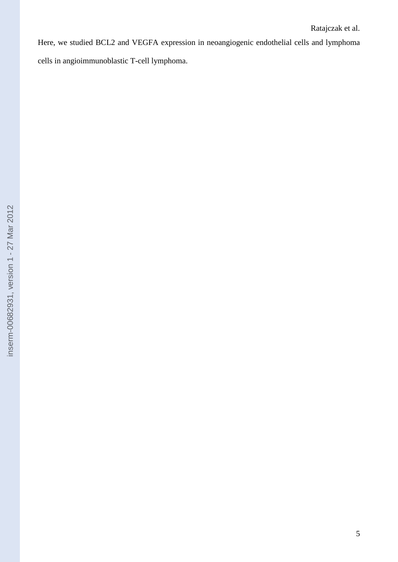Here, we studied BCL2 and VEGFA expression in neoangiogenic endothelial cells and lymphoma cells in angioimmunoblastic T-cell lymphoma.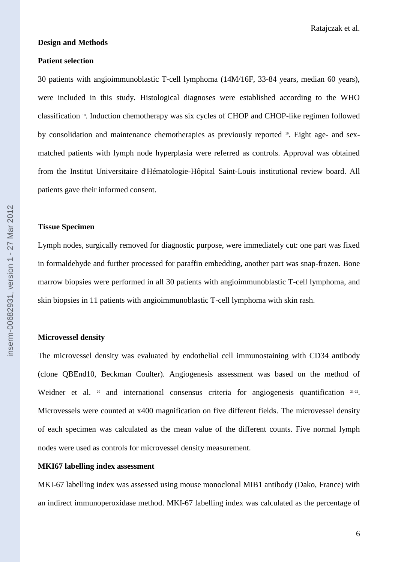#### **Design and Methods**

#### **Patient selection**

30 patients with angioimmunoblastic T-cell lymphoma (14M/16F, 33-84 years, median 60 years), were included in this study. Histological diagnoses were established according to the WHO classification <sup>18</sup> . Induction chemotherapy was six cycles of CHOP and CHOP-like regimen followed by consolidation and maintenance chemotherapies as previously reported <sup>19</sup>. Eight age- and sexmatched patients with lymph node hyperplasia were referred as controls. Approval was obtained from the Institut Universitaire d'Hématologie-Hôpital Saint-Louis institutional review board. All patients gave their informed consent.

#### **Tissue Specimen**

Lymph nodes, surgically removed for diagnostic purpose, were immediately cut: one part was fixed in formaldehyde and further processed for paraffin embedding, another part was snap-frozen. Bone marrow biopsies were performed in all 30 patients with angioimmunoblastic T-cell lymphoma, and skin biopsies in 11 patients with angioimmunoblastic T-cell lymphoma with skin rash.

#### **Microvessel density**

The microvessel density was evaluated by endothelial cell immunostaining with CD34 antibody (clone QBEnd10, Beckman Coulter). Angiogenesis assessment was based on the method of Weidner et al.  $20$  and international consensus criteria for angiogenesis quantification  $21-22$ . Microvessels were counted at x400 magnification on five different fields. The microvessel density of each specimen was calculated as the mean value of the different counts. Five normal lymph nodes were used as controls for microvessel density measurement.

#### **MKI67 labelling index assessment**

MKI-67 labelling index was assessed using mouse monoclonal MIB1 antibody (Dako, France) with an indirect immunoperoxidase method. MKI-67 labelling index was calculated as the percentage of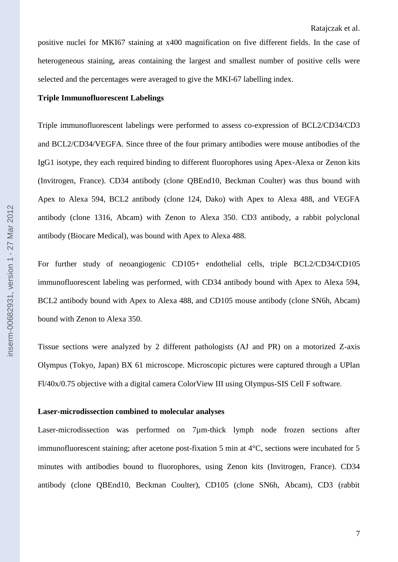positive nuclei for MKI67 staining at x400 magnification on five different fields. In the case of heterogeneous staining, areas containing the largest and smallest number of positive cells were selected and the percentages were averaged to give the MKI-67 labelling index.

#### **Triple Immunofluorescent Labelings**

Triple immunofluorescent labelings were performed to assess co-expression of BCL2/CD34/CD3 and BCL2/CD34/VEGFA. Since three of the four primary antibodies were mouse antibodies of the IgG1 isotype, they each required binding to different fluorophores using Apex-Alexa or Zenon kits (Invitrogen, France). CD34 antibody (clone QBEnd10, Beckman Coulter) was thus bound with Apex to Alexa 594, BCL2 antibody (clone 124, Dako) with Apex to Alexa 488, and VEGFA antibody (clone 1316, Abcam) with Zenon to Alexa 350. CD3 antibody, a rabbit polyclonal antibody (Biocare Medical), was bound with Apex to Alexa 488.

For further study of neoangiogenic CD105+ endothelial cells, triple BCL2/CD34/CD105 immunofluorescent labeling was performed, with CD34 antibody bound with Apex to Alexa 594, BCL2 antibody bound with Apex to Alexa 488, and CD105 mouse antibody (clone SN6h, Abcam) bound with Zenon to Alexa 350.

Tissue sections were analyzed by 2 different pathologists (AJ and PR) on a motorized Z-axis Olympus (Tokyo, Japan) BX 61 microscope. Microscopic pictures were captured through a UPlan Fl/40x/0.75 objective with a digital camera ColorView III using Olympus-SIS Cell F software.

#### **Laser-microdissection combined to molecular analyses**

Laser-microdissection was performed on 7µm-thick lymph node frozen sections after immunofluorescent staining; after acetone post-fixation 5 min at 4°C, sections were incubated for 5 minutes with antibodies bound to fluorophores, using Zenon kits (Invitrogen, France). CD34 antibody (clone QBEnd10, Beckman Coulter), CD105 (clone SN6h, Abcam), CD3 (rabbit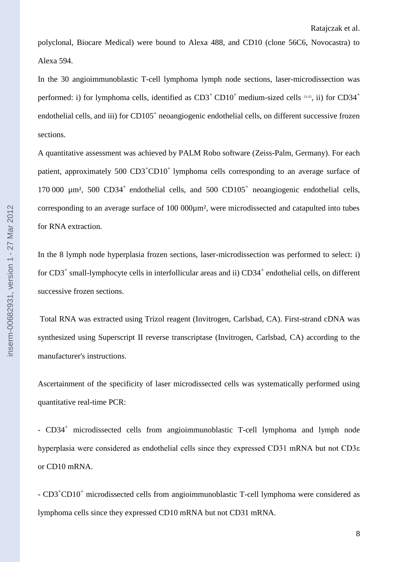polyclonal, Biocare Medical) were bound to Alexa 488, and CD10 (clone 56C6, Novocastra) to Alexa 594.

In the 30 angioimmunoblastic T-cell lymphoma lymph node sections, laser-microdissection was performed: i) for lymphoma cells, identified as  $CD3^+$  CD10<sup>+</sup> medium-sized cells <sup>23-25</sup>, ii) for CD34<sup>+</sup> endothelial cells, and iii) for CD105<sup>+</sup> neoangiogenic endothelial cells, on different successive frozen sections.

A quantitative assessment was achieved by PALM Robo software (Zeiss-Palm, Germany). For each patient, approximately  $500 \text{ CD3}^+ \text{CD10}^+$  lymphoma cells corresponding to an average surface of 170 000  $\mu$ m<sup>2</sup>, 500 CD34<sup>+</sup> endothelial cells, and 500 CD105<sup>+</sup> neoangiogenic endothelial cells, corresponding to an average surface of 100 000µm², were microdissected and catapulted into tubes for RNA extraction.

In the 8 lymph node hyperplasia frozen sections, laser-microdissection was performed to select: i) for CD3<sup>+</sup> small-lymphocyte cells in interfollicular areas and ii) CD34<sup>+</sup> endothelial cells, on different successive frozen sections.

Total RNA was extracted using Trizol reagent (Invitrogen, Carlsbad, CA). First-strand cDNA was synthesized using Superscript II reverse transcriptase (Invitrogen, Carlsbad, CA) according to the manufacturer's instructions.

Ascertainment of the specificity of laser microdissected cells was systematically performed using quantitative real-time PCR:

- CD34<sup>+</sup> microdissected cells from angioimmunoblastic T-cell lymphoma and lymph node hyperplasia were considered as endothelial cells since they expressed CD31 mRNA but not CD3ε or CD10 mRNA.

- CD3<sup>+</sup>CD10<sup>+</sup> microdissected cells from angioimmunoblastic T-cell lymphoma were considered as lymphoma cells since they expressed CD10 mRNA but not CD31 mRNA.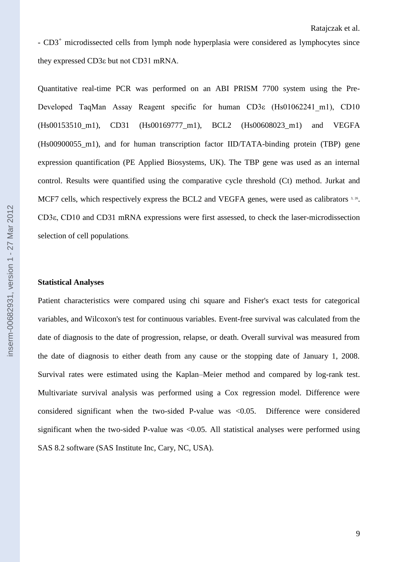- CD3<sup>+</sup> microdissected cells from lymph node hyperplasia were considered as lymphocytes since they expressed CD3ε but not CD31 mRNA.

Quantitative real-time PCR was performed on an ABI PRISM 7700 system using the Pre-Developed TaqMan Assay Reagent specific for human CD3ε (Hs01062241\_m1), CD10 (Hs00153510 m1), CD31 (Hs00169777 m1), BCL2 (Hs00608023 m1) and VEGFA (Hs00900055\_m1), and for human transcription factor IID/TATA-binding protein (TBP) gene expression quantification (PE Applied Biosystems, UK). The TBP gene was used as an internal control. Results were quantified using the comparative cycle threshold (Ct) method. Jurkat and MCF7 cells, which respectively express the BCL2 and VEGFA genes, were used as calibrators 3, 26. CD3ε, CD10 and CD31 mRNA expressions were first assessed, to check the laser-microdissection selection of cell populations.

#### **Statistical Analyses**

Patient characteristics were compared using chi square and Fisher's exact tests for categorical variables, and Wilcoxon's test for continuous variables. Event-free survival was calculated from the date of diagnosis to the date of progression, relapse, or death. Overall survival was measured from the date of diagnosis to either death from any cause or the stopping date of January 1, 2008. Survival rates were estimated using the Kaplan–Meier method and compared by log-rank test. Multivariate survival analysis was performed using a Cox regression model. Difference were considered significant when the two-sided P-value was <0.05. Difference were considered significant when the two-sided P-value was  $\langle 0.05, A \rangle$  statistical analyses were performed using SAS 8.2 software (SAS Institute Inc, Cary, NC, USA).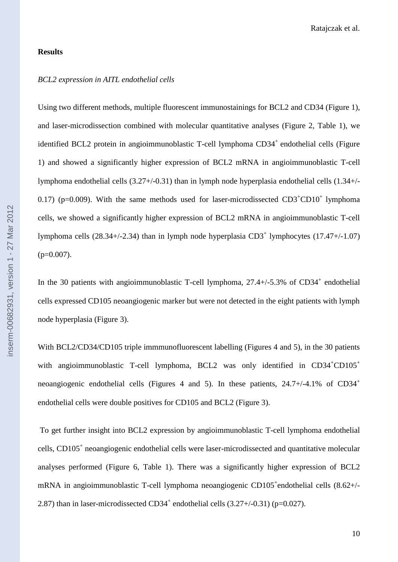#### **Results**

#### *BCL2 expression in AITL endothelial cells*

Using two different methods, multiple fluorescent immunostainings for BCL2 and CD34 (Figure 1), and laser-microdissection combined with molecular quantitative analyses (Figure 2, Table 1), we identified BCL2 protein in angioimmunoblastic T-cell lymphoma  $CD34<sup>+</sup>$  endothelial cells (Figure 1) and showed a significantly higher expression of BCL2 mRNA in angioimmunoblastic T-cell lymphoma endothelial cells (3.27+/-0.31) than in lymph node hyperplasia endothelial cells (1.34+/- 0.17) ( $p=0.009$ ). With the same methods used for laser-microdissected  $CD3^+CD10^+$  lymphoma cells, we showed a significantly higher expression of BCL2 mRNA in angioimmunoblastic T-cell lymphoma cells  $(28.34+/2.34)$  than in lymph node hyperplasia  $CD3<sup>+</sup>$  lymphocytes  $(17.47+/1.07)$  $(p=0.007)$ .

In the 30 patients with angioimmunoblastic T-cell lymphoma,  $27.4+/5.3%$  of CD34<sup>+</sup> endothelial cells expressed CD105 neoangiogenic marker but were not detected in the eight patients with lymph node hyperplasia (Figure 3).

With BCL2/CD34/CD105 triple immmunofluorescent labelling (Figures 4 and 5), in the 30 patients with angioimmunoblastic T-cell lymphoma, BCL2 was only identified in  $CD34<sup>+</sup>CD105<sup>+</sup>$ neoangiogenic endothelial cells (Figures 4 and 5). In these patients,  $24.7+/4.1\%$  of CD34<sup>+</sup> endothelial cells were double positives for CD105 and BCL2 (Figure 3).

To get further insight into BCL2 expression by angioimmunoblastic T-cell lymphoma endothelial cells, CD105<sup>+</sup> neoangiogenic endothelial cells were laser-microdissected and quantitative molecular analyses performed (Figure 6, Table 1). There was a significantly higher expression of BCL2 mRNA in angioimmunoblastic T-cell lymphoma neoangiogenic CD105<sup>+</sup>endothelial cells (8.62+/-2.87) than in laser-microdissected CD34<sup>+</sup> endothelial cells  $(3.27 + (-0.31)$  (p=0.027).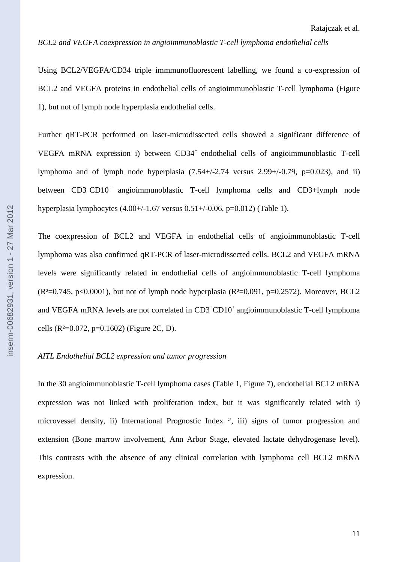#### *BCL2 and VEGFA coexpression in angioimmunoblastic T-cell lymphoma endothelial cells*

Using BCL2/VEGFA/CD34 triple immmunofluorescent labelling, we found a co-expression of BCL2 and VEGFA proteins in endothelial cells of angioimmunoblastic T-cell lymphoma (Figure 1), but not of lymph node hyperplasia endothelial cells.

Further qRT-PCR performed on laser-microdissected cells showed a significant difference of VEGFA mRNA expression i) between CD34<sup>+</sup> endothelial cells of angioimmunoblastic T-cell lymphoma and of lymph node hyperplasia  $(7.54+/2.74$  versus  $2.99+/0.79$ ,  $p=0.023$ ), and ii) between CD3<sup>+</sup>CD10<sup>+</sup> angioimmunoblastic T-cell lymphoma cells and CD3+lymph node hyperplasia lymphocytes  $(4.00+/1.67 \text{ versus } 0.51+/0.06, \text{ p} = 0.012)$  (Table 1).

The coexpression of BCL2 and VEGFA in endothelial cells of angioimmunoblastic T-cell lymphoma was also confirmed qRT-PCR of laser-microdissected cells. BCL2 and VEGFA mRNA levels were significantly related in endothelial cells of angioimmunoblastic T-cell lymphoma  $(R<sup>2</sup>=0.745, p<0.0001)$ , but not of lymph node hyperplasia  $(R<sup>2</sup>=0.091, p=0.2572)$ . Moreover, BCL2 and VEGFA mRNA levels are not correlated in CD3<sup>+</sup>CD10<sup>+</sup> angioimmunoblastic T-cell lymphoma cells ( $R^2=0.072$ ,  $p=0.1602$ ) (Figure 2C, D).

#### *AITL Endothelial BCL2 expression and tumor progression*

In the 30 angioimmunoblastic T-cell lymphoma cases (Table 1, Figure 7), endothelial BCL2 mRNA expression was not linked with proliferation index, but it was significantly related with i) microvessel density, ii) International Prognostic Index <sup>27</sup>, iii) signs of tumor progression and extension (Bone marrow involvement, Ann Arbor Stage, elevated lactate dehydrogenase level). This contrasts with the absence of any clinical correlation with lymphoma cell BCL2 mRNA expression.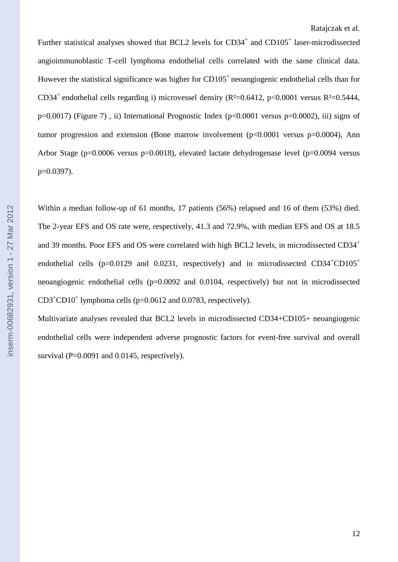Further statistical analyses showed that BCL2 levels for  $CD34^+$  and  $CD105^+$  laser-microdissected angioimmunoblastic T-cell lymphoma endothelial cells correlated with the same clinical data. However the statistical significance was higher for  $CD105<sup>+</sup>$  neoangiogenic endothelial cells than for CD34<sup>+</sup> endothelial cells regarding i) microvessel density (R<sup>2</sup>=0.6412, p<0.0001 versus R<sup>2</sup>=0.5444, p=0.0017) (Figure 7), ii) International Prognostic Index (p<0.0001 versus p=0.0002), iii) signs of tumor progression and extension (Bone marrow involvement  $(p<0.0001$  versus  $p=0.0004$ ), Ann Arbor Stage ( $p=0.0006$  versus  $p=0.0018$ ), elevated lactate dehydrogenase level ( $p=0.0094$  versus p=0.0397).

Within a median follow-up of 61 months, 17 patients (56%) relapsed and 16 of them (53%) died. The 2-year EFS and OS rate were, respectively, 41.3 and 72.9%, with median EFS and OS at 18.5 and 39 months. Poor EFS and OS were correlated with high BCL2 levels, in microdissected CD34<sup>+</sup> endothelial cells ( $p=0.0129$  and 0.0231, respectively) and in microdissected CD34<sup>+</sup>CD105<sup>+</sup> neoangiogenic endothelial cells (p=0.0092 and 0.0104, respectively) but not in microdissected  $CD3<sup>+</sup>CD10<sup>+</sup>$  lymphoma cells (p=0.0612 and 0.0783, respectively).

Multivariate analyses revealed that BCL2 levels in microdissected CD34+CD105+ neoangiogenic endothelial cells were independent adverse prognostic factors for event-free survival and overall survival ( $P=0.0091$  and 0.0145, respectively).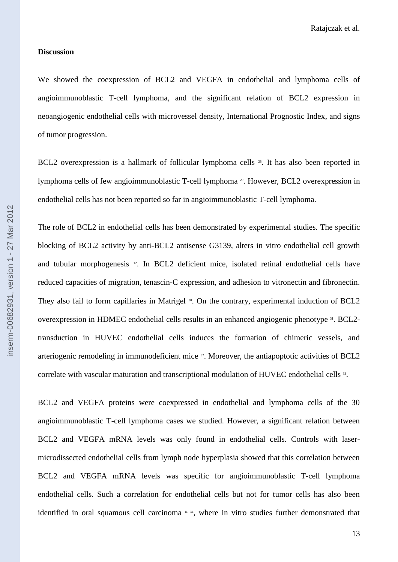#### **Discussion**

We showed the coexpression of BCL2 and VEGFA in endothelial and lymphoma cells of angioimmunoblastic T-cell lymphoma, and the significant relation of BCL2 expression in neoangiogenic endothelial cells with microvessel density, International Prognostic Index, and signs of tumor progression.

BCL2 overexpression is a hallmark of follicular lymphoma cells <sup>28</sup>. It has also been reported in lymphoma cells of few angioimmunoblastic T-cell lymphoma <sup>29</sup>. However, BCL2 overexpression in endothelial cells has not been reported so far in angioimmunoblastic T-cell lymphoma.

The role of BCL2 in endothelial cells has been demonstrated by experimental studies. The specific blocking of BCL2 activity by anti-BCL2 antisense G3139, alters in vitro endothelial cell growth and tubular morphogenesis <sup>12</sup>. In BCL2 deficient mice, isolated retinal endothelial cells have reduced capacities of migration, tenascin-C expression, and adhesion to vitronectin and fibronectin. They also fail to form capillaries in Matrigel <sup>30</sup>. On the contrary, experimental induction of BCL2 overexpression in HDMEC endothelial cells results in an enhanced angiogenic phenotype 31. BCL2transduction in HUVEC endothelial cells induces the formation of chimeric vessels, and arteriogenic remodeling in immunodeficient mice <sup>32</sup>. Moreover, the antiapoptotic activities of BCL2 correlate with vascular maturation and transcriptional modulation of HUVEC endothelial cells 33.

BCL2 and VEGFA proteins were coexpressed in endothelial and lymphoma cells of the 30 angioimmunoblastic T-cell lymphoma cases we studied. However, a significant relation between BCL2 and VEGFA mRNA levels was only found in endothelial cells. Controls with lasermicrodissected endothelial cells from lymph node hyperplasia showed that this correlation between BCL2 and VEGFA mRNA levels was specific for angioimmunoblastic T-cell lymphoma endothelial cells. Such a correlation for endothelial cells but not for tumor cells has also been identified in oral squamous cell carcinoma<sup>8, 34</sup>, where in vitro studies further demonstrated that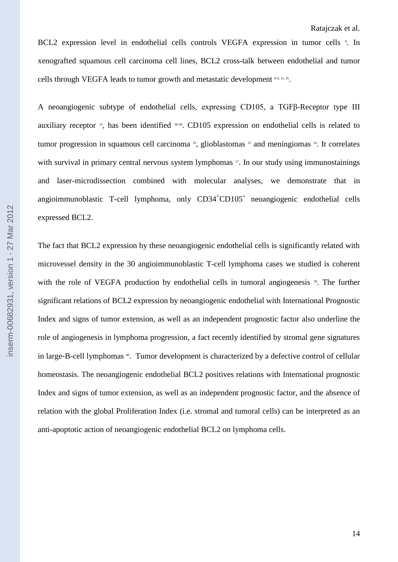BCL2 expression level in endothelial cells controls VEGFA expression in tumor cells <sup>8</sup>. In xenografted squamous cell carcinoma cell lines, BCL2 cross-talk between endothelial and tumor cells through VEGFA leads to tumor growth and metastatic development 8-9, 11, 35.

A neoangiogenic subtype of endothelial cells, expressing CD105, a TGFβ-Receptor type III auxiliary receptor <sup>13</sup>, has been identified <sup>36-38</sup>. CD105 expression on endothelial cells is related to tumor progression in squamous cell carcinoma <sup>16</sup>, glioblastomas <sup>15</sup> and meningiomas <sup>14</sup>. It correlates with survival in primary central nervous system lymphomas <sup>17</sup>. In our study using immunostainings and laser-microdissection combined with molecular analyses, we demonstrate that in angioimmunoblastic T-cell lymphoma, only  $CD34<sup>+</sup>CD105<sup>+</sup>$  neoangiogenic endothelial cells expressed BCL2.

The fact that BCL2 expression by these neoangiogenic endothelial cells is significantly related with microvessel density in the 30 angioimmunoblastic T-cell lymphoma cases we studied is coherent with the role of VEGFA production by endothelial cells in tumoral angiogenesis<sup>39</sup>. The further significant relations of BCL2 expression by neoangiogenic endothelial with International Prognostic Index and signs of tumor extension, as well as an independent prognostic factor also underline the role of angiogenesis in lymphoma progression, a fact recently identified by stromal gene signatures in large-B-cell lymphomas <sup>40</sup>. Tumor development is characterized by a defective control of cellular homeostasis. The neoangiogenic endothelial BCL2 positives relations with International prognostic Index and signs of tumor extension, as well as an independent prognostic factor, and the absence of relation with the global Proliferation Index (i.e. stromal and tumoral cells) can be interpreted as an anti-apoptotic action of neoangiogenic endothelial BCL2 on lymphoma cells.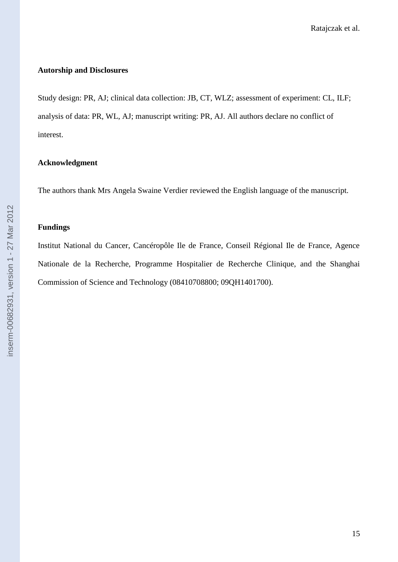#### **Autorship and Disclosures**

Study design: PR, AJ; clinical data collection: JB, CT, WLZ; assessment of experiment: CL, ILF; analysis of data: PR, WL, AJ; manuscript writing: PR, AJ. All authors declare no conflict of interest.

## **Acknowledgment**

The authors thank Mrs Angela Swaine Verdier reviewed the English language of the manuscript.

#### **Fundings**

Institut National du Cancer, Cancéropôle Ile de France, Conseil Régional Ile de France, Agence Nationale de la Recherche, Programme Hospitalier de Recherche Clinique, and the Shanghai Commission of Science and Technology (08410708800; 09QH1401700).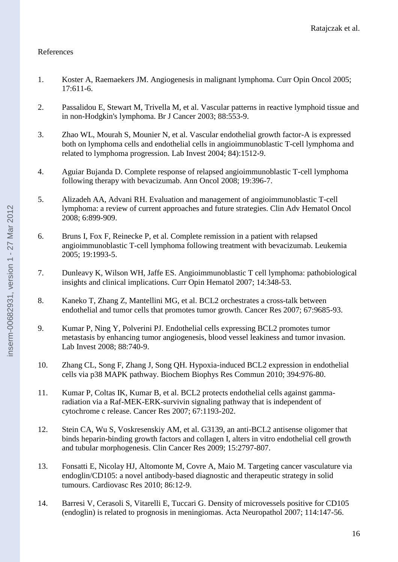## References

- 1. Koster A, Raemaekers JM. Angiogenesis in malignant lymphoma. Curr Opin Oncol 2005; 17:611-6.
- 2. Passalidou E, Stewart M, Trivella M, et al. Vascular patterns in reactive lymphoid tissue and in non-Hodgkin's lymphoma. Br J Cancer 2003; 88:553-9.
- 3. Zhao WL, Mourah S, Mounier N, et al. Vascular endothelial growth factor-A is expressed both on lymphoma cells and endothelial cells in angioimmunoblastic T-cell lymphoma and related to lymphoma progression. Lab Invest 2004; 84):1512-9.
- 4. Aguiar Bujanda D. Complete response of relapsed angioimmunoblastic T-cell lymphoma following therapy with bevacizumab. Ann Oncol 2008; 19:396-7.
- 5. Alizadeh AA, Advani RH. Evaluation and management of angioimmunoblastic T-cell lymphoma: a review of current approaches and future strategies. Clin Adv Hematol Oncol 2008; 6:899-909.
- 6. Bruns I, Fox F, Reinecke P, et al. Complete remission in a patient with relapsed angioimmunoblastic T-cell lymphoma following treatment with bevacizumab. Leukemia 2005; 19:1993-5.
- 7. Dunleavy K, Wilson WH, Jaffe ES. Angioimmunoblastic T cell lymphoma: pathobiological insights and clinical implications. Curr Opin Hematol 2007; 14:348-53.
- 8. Kaneko T, Zhang Z, Mantellini MG, et al. BCL2 orchestrates a cross-talk between endothelial and tumor cells that promotes tumor growth. Cancer Res 2007; 67:9685-93.
- 9. Kumar P, Ning Y, Polverini PJ. Endothelial cells expressing BCL2 promotes tumor metastasis by enhancing tumor angiogenesis, blood vessel leakiness and tumor invasion. Lab Invest 2008; 88:740-9.
- 10. Zhang CL, Song F, Zhang J, Song QH. Hypoxia-induced BCL2 expression in endothelial cells via p38 MAPK pathway. Biochem Biophys Res Commun 2010; 394:976-80.
- 11. Kumar P, Coltas IK, Kumar B, et al. BCL2 protects endothelial cells against gammaradiation via a Raf-MEK-ERK-survivin signaling pathway that is independent of cytochrome c release. Cancer Res 2007; 67:1193-202.
- 12. Stein CA, Wu S, Voskresenskiy AM, et al. G3139, an anti-BCL2 antisense oligomer that binds heparin-binding growth factors and collagen I, alters in vitro endothelial cell growth and tubular morphogenesis. Clin Cancer Res 2009; 15:2797-807.
- 13. Fonsatti E, Nicolay HJ, Altomonte M, Covre A, Maio M. Targeting cancer vasculature via endoglin/CD105: a novel antibody-based diagnostic and therapeutic strategy in solid tumours. Cardiovasc Res 2010; 86:12-9.
- 14. Barresi V, Cerasoli S, Vitarelli E, Tuccari G. Density of microvessels positive for CD105 (endoglin) is related to prognosis in meningiomas. Acta Neuropathol 2007; 114:147-56.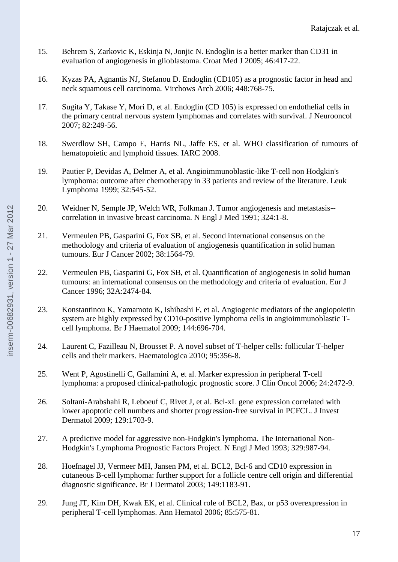- 15. Behrem S, Zarkovic K, Eskinja N, Jonjic N. Endoglin is a better marker than CD31 in evaluation of angiogenesis in glioblastoma. Croat Med J 2005; 46:417-22.
- 16. Kyzas PA, Agnantis NJ, Stefanou D. Endoglin (CD105) as a prognostic factor in head and neck squamous cell carcinoma. Virchows Arch 2006; 448:768-75.
- 17. Sugita Y, Takase Y, Mori D, et al. Endoglin (CD 105) is expressed on endothelial cells in the primary central nervous system lymphomas and correlates with survival. J Neurooncol 2007; 82:249-56.
- 18. Swerdlow SH, Campo E, Harris NL, Jaffe ES, et al. WHO classification of tumours of hematopoietic and lymphoid tissues. IARC 2008.
- 19. Pautier P, Devidas A, Delmer A, et al. Angioimmunoblastic-like T-cell non Hodgkin's lymphoma: outcome after chemotherapy in 33 patients and review of the literature. Leuk Lymphoma 1999; 32:545-52.
- 20. Weidner N, Semple JP, Welch WR, Folkman J. Tumor angiogenesis and metastasis- correlation in invasive breast carcinoma. N Engl J Med 1991; 324:1-8.
- 21. Vermeulen PB, Gasparini G, Fox SB, et al. Second international consensus on the methodology and criteria of evaluation of angiogenesis quantification in solid human tumours. Eur J Cancer 2002; 38:1564-79.
- 22. Vermeulen PB, Gasparini G, Fox SB, et al. Quantification of angiogenesis in solid human tumours: an international consensus on the methodology and criteria of evaluation. Eur J Cancer 1996; 32A:2474-84.
- 23. Konstantinou K, Yamamoto K, Ishibashi F, et al. Angiogenic mediators of the angiopoietin system are highly expressed by CD10-positive lymphoma cells in angioimmunoblastic Tcell lymphoma. Br J Haematol 2009; 144:696-704.
- 24. Laurent C, Fazilleau N, Brousset P. A novel subset of T-helper cells: follicular T-helper cells and their markers. Haematologica 2010; 95:356-8.
- 25. Went P, Agostinelli C, Gallamini A, et al. Marker expression in peripheral T-cell lymphoma: a proposed clinical-pathologic prognostic score. J Clin Oncol 2006; 24:2472-9.
- 26. Soltani-Arabshahi R, Leboeuf C, Rivet J, et al. Bcl-xL gene expression correlated with lower apoptotic cell numbers and shorter progression-free survival in PCFCL. J Invest Dermatol 2009; 129:1703-9.
- 27. A predictive model for aggressive non-Hodgkin's lymphoma. The International Non-Hodgkin's Lymphoma Prognostic Factors Project. N Engl J Med 1993; 329:987-94.
- 28. Hoefnagel JJ, Vermeer MH, Jansen PM, et al. BCL2, Bcl-6 and CD10 expression in cutaneous B-cell lymphoma: further support for a follicle centre cell origin and differential diagnostic significance. Br J Dermatol 2003; 149:1183-91.
- 29. Jung JT, Kim DH, Kwak EK, et al. Clinical role of BCL2, Bax, or p53 overexpression in peripheral T-cell lymphomas. Ann Hematol 2006; 85:575-81.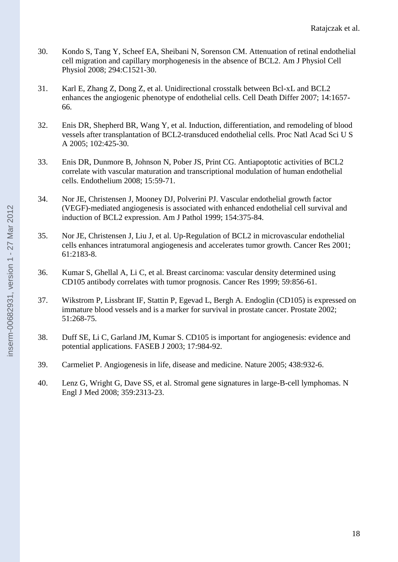- 30. Kondo S, Tang Y, Scheef EA, Sheibani N, Sorenson CM. Attenuation of retinal endothelial cell migration and capillary morphogenesis in the absence of BCL2. Am J Physiol Cell Physiol 2008; 294:C1521-30.
- 31. Karl E, Zhang Z, Dong Z, et al. Unidirectional crosstalk between Bcl-xL and BCL2 enhances the angiogenic phenotype of endothelial cells. Cell Death Differ 2007; 14:1657- 66.
- 32. Enis DR, Shepherd BR, Wang Y, et al. Induction, differentiation, and remodeling of blood vessels after transplantation of BCL2-transduced endothelial cells. Proc Natl Acad Sci U S A 2005; 102:425-30.
- 33. Enis DR, Dunmore B, Johnson N, Pober JS, Print CG. Antiapoptotic activities of BCL2 correlate with vascular maturation and transcriptional modulation of human endothelial cells. Endothelium 2008; 15:59-71.
- 34. Nor JE, Christensen J, Mooney DJ, Polverini PJ. Vascular endothelial growth factor (VEGF)-mediated angiogenesis is associated with enhanced endothelial cell survival and induction of BCL2 expression. Am J Pathol 1999; 154:375-84.
- 35. Nor JE, Christensen J, Liu J, et al. Up-Regulation of BCL2 in microvascular endothelial cells enhances intratumoral angiogenesis and accelerates tumor growth. Cancer Res 2001; 61:2183-8.
- 36. Kumar S, Ghellal A, Li C, et al. Breast carcinoma: vascular density determined using CD105 antibody correlates with tumor prognosis. Cancer Res 1999; 59:856-61.
- 37. Wikstrom P, Lissbrant IF, Stattin P, Egevad L, Bergh A. Endoglin (CD105) is expressed on immature blood vessels and is a marker for survival in prostate cancer. Prostate 2002; 51:268-75.
- 38. Duff SE, Li C, Garland JM, Kumar S. CD105 is important for angiogenesis: evidence and potential applications. FASEB J 2003; 17:984-92.
- 39. Carmeliet P. Angiogenesis in life, disease and medicine. Nature 2005; 438:932-6.
- 40. Lenz G, Wright G, Dave SS, et al. Stromal gene signatures in large-B-cell lymphomas. N Engl J Med 2008; 359:2313-23.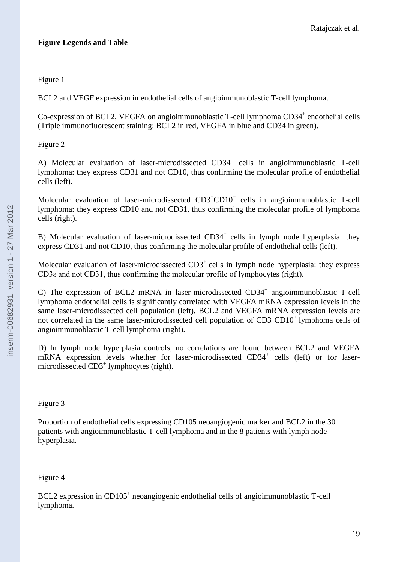## **Figure Legends and Table**

## Figure 1

BCL2 and VEGF expression in endothelial cells of angioimmunoblastic T-cell lymphoma.

Co-expression of BCL2, VEGFA on angioimmunoblastic T-cell lymphoma CD34<sup>+</sup> endothelial cells (Triple immunofluorescent staining: BCL2 in red, VEGFA in blue and CD34 in green).

## Figure 2

A) Molecular evaluation of laser-microdissected CD34<sup>+</sup> cells in angioimmunoblastic T-cell lymphoma: they express CD31 and not CD10, thus confirming the molecular profile of endothelial cells (left).

Molecular evaluation of laser-microdissected CD3<sup>+</sup>CD10<sup>+</sup> cells in angioimmunoblastic T-cell lymphoma: they express CD10 and not CD31, thus confirming the molecular profile of lymphoma cells (right).

B) Molecular evaluation of laser-microdissected CD34<sup>+</sup> cells in lymph node hyperplasia: they express CD31 and not CD10, thus confirming the molecular profile of endothelial cells (left).

Molecular evaluation of laser-microdissected  $CD3<sup>+</sup>$  cells in lymph node hyperplasia: they express CD3ε and not CD31, thus confirming the molecular profile of lymphocytes (right).

C) The expression of BCL2 mRNA in laser-microdissected CD34<sup>+</sup> angioimmunoblastic T-cell lymphoma endothelial cells is significantly correlated with VEGFA mRNA expression levels in the same laser-microdissected cell population (left). BCL2 and VEGFA mRNA expression levels are not correlated in the same laser-microdissected cell population of  $CD3<sup>+</sup>CD10<sup>+</sup>$  lymphoma cells of angioimmunoblastic T-cell lymphoma (right).

D) In lymph node hyperplasia controls, no correlations are found between BCL2 and VEGFA mRNA expression levels whether for laser-microdissected CD34<sup>+</sup> cells (left) or for lasermicrodissected CD3<sup>+</sup> lymphocytes (right).

## Figure 3

Proportion of endothelial cells expressing CD105 neoangiogenic marker and BCL2 in the 30 patients with angioimmunoblastic T-cell lymphoma and in the 8 patients with lymph node hyperplasia.

## Figure 4

BCL2 expression in CD105<sup>+</sup> neoangiogenic endothelial cells of angioimmunoblastic T-cell lymphoma.